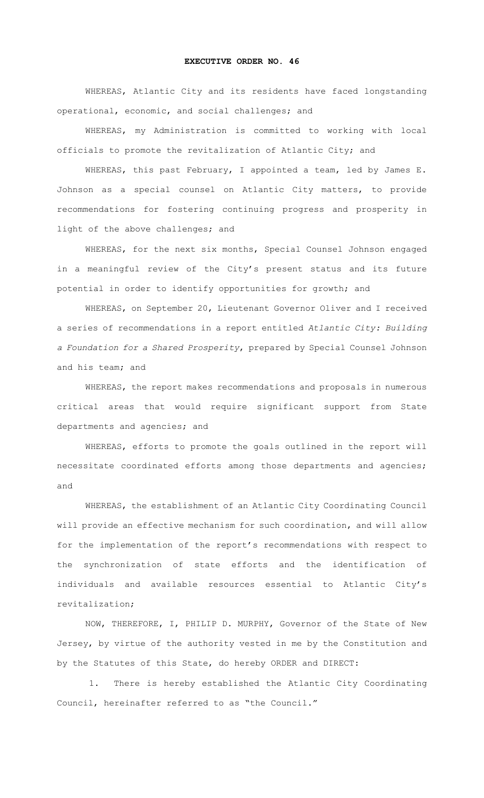## **EXECUTIVE ORDER NO. 46**

WHEREAS, Atlantic City and its residents have faced longstanding operational, economic, and social challenges; and

WHEREAS, my Administration is committed to working with local officials to promote the revitalization of Atlantic City; and

WHEREAS, this past February, I appointed a team, led by James E. Johnson as a special counsel on Atlantic City matters, to provide recommendations for fostering continuing progress and prosperity in light of the above challenges; and

WHEREAS, for the next six months, Special Counsel Johnson engaged in a meaningful review of the City's present status and its future potential in order to identify opportunities for growth; and

WHEREAS, on September 20, Lieutenant Governor Oliver and I received a series of recommendations in a report entitled *Atlantic City: Building a Foundation for a Shared Prosperity*, prepared by Special Counsel Johnson and his team; and

WHEREAS, the report makes recommendations and proposals in numerous critical areas that would require significant support from State departments and agencies; and

WHEREAS, efforts to promote the goals outlined in the report will necessitate coordinated efforts among those departments and agencies; and

WHEREAS, the establishment of an Atlantic City Coordinating Council will provide an effective mechanism for such coordination, and will allow for the implementation of the report's recommendations with respect to the synchronization of state efforts and the identification of individuals and available resources essential to Atlantic City's revitalization;

NOW, THEREFORE, I, PHILIP D. MURPHY, Governor of the State of New Jersey, by virtue of the authority vested in me by the Constitution and by the Statutes of this State, do hereby ORDER and DIRECT:

1. There is hereby established the Atlantic City Coordinating Council, hereinafter referred to as "the Council."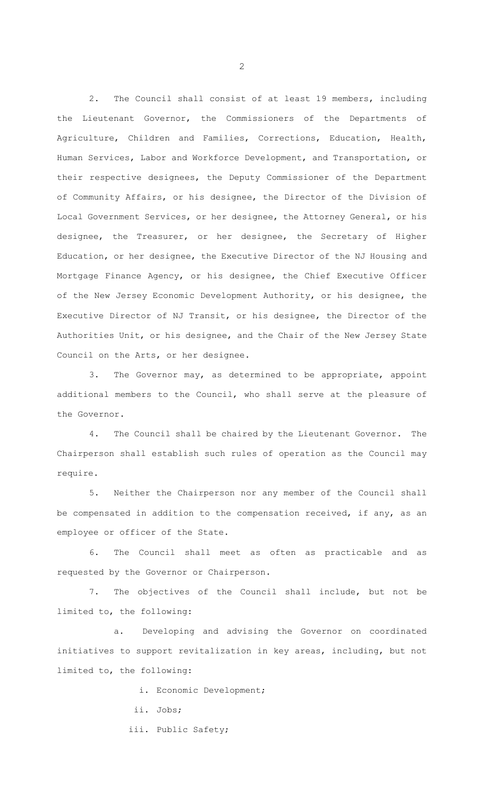2. The Council shall consist of at least 19 members, including the Lieutenant Governor, the Commissioners of the Departments of Agriculture, Children and Families, Corrections, Education, Health, Human Services, Labor and Workforce Development, and Transportation, or their respective designees, the Deputy Commissioner of the Department of Community Affairs, or his designee, the Director of the Division of Local Government Services, or her designee, the Attorney General, or his designee, the Treasurer, or her designee, the Secretary of Higher Education, or her designee, the Executive Director of the NJ Housing and Mortgage Finance Agency, or his designee, the Chief Executive Officer of the New Jersey Economic Development Authority, or his designee, the Executive Director of NJ Transit, or his designee, the Director of the Authorities Unit, or his designee, and the Chair of the New Jersey State Council on the Arts, or her designee.

3. The Governor may, as determined to be appropriate, appoint additional members to the Council, who shall serve at the pleasure of the Governor.

4. The Council shall be chaired by the Lieutenant Governor. The Chairperson shall establish such rules of operation as the Council may require.

5. Neither the Chairperson nor any member of the Council shall be compensated in addition to the compensation received, if any, as an employee or officer of the State.

6. The Council shall meet as often as practicable and as requested by the Governor or Chairperson.

7. The objectives of the Council shall include, but not be limited to, the following:

a. Developing and advising the Governor on coordinated initiatives to support revitalization in key areas, including, but not limited to, the following:

i. Economic Development;

ii. Jobs;

iii. Public Safety;

2